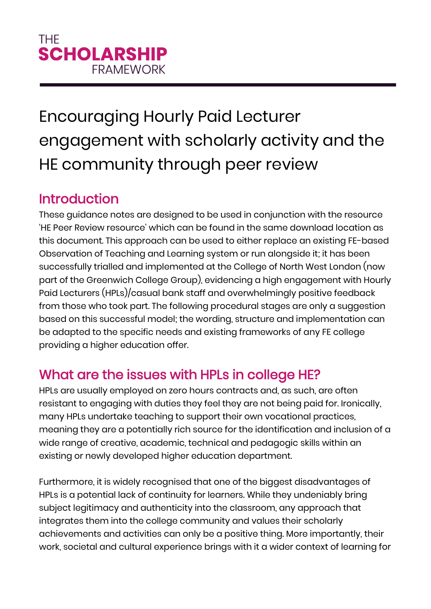# Encouraging Hourly Paid Lecturer engagement with scholarly activity and the HE community through peer review

#### Introduction

These guidance notes are designed to be used in conjunction with the resource 'HE Peer Review resource' which can be found in the same download location as this document. This approach can be used to either replace an existing FE-based Observation of Teaching and Learning system or run alongside it; it has been successfully trialled and implemented at the College of North West London (now part of the Greenwich College Group), evidencing a high engagement with Hourly Paid Lecturers (HPLs)/casual bank staff and overwhelmingly positive feedback from those who took part. The following procedural stages are only a suggestion based on this successful model; the wording, structure and implementation can be adapted to the specific needs and existing frameworks of any FE college providing a higher education offer.

## What are the issues with HPLs in college HE?

HPLs are usually employed on zero hours contracts and, as such, are often resistant to engaging with duties they feel they are not being paid for. Ironically, many HPLs undertake teaching to support their own vocational practices, meaning they are a potentially rich source for the identification and inclusion of a wide range of creative, academic, technical and pedagogic skills within an existing or newly developed higher education department.

Furthermore, it is widely recognised that one of the biggest disadvantages of HPLs is a potential lack of continuity for learners. While they undeniably bring subject legitimacy and authenticity into the classroom, any approach that integrates them into the college community and values their scholarly achievements and activities can only be a positive thing. More importantly, their work, societal and cultural experience brings with it a wider context of learning for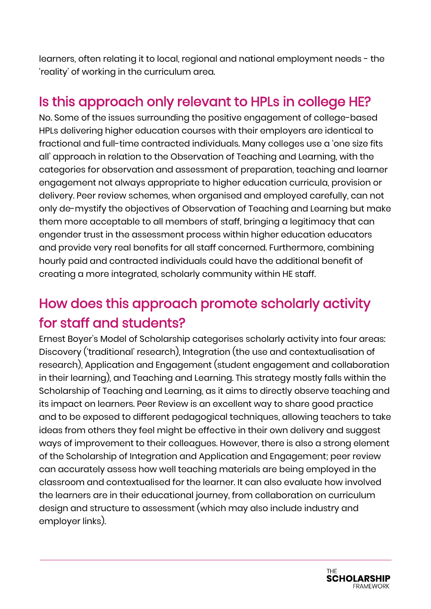learners, often relating it to local, regional and national employment needs - the 'reality' of working in the curriculum area.

#### Is this approach only relevant to HPLs in college HE?

No. Some of the issues surrounding the positive engagement of college-based HPLs delivering higher education courses with their employers are identical to fractional and full-time contracted individuals. Many colleges use a 'one size fits all' approach in relation to the Observation of Teaching and Learning, with the categories for observation and assessment of preparation, teaching and learner engagement not always appropriate to higher education curricula, provision or delivery. Peer review schemes, when organised and employed carefully, can not only de-mystify the objectives of Observation of Teaching and Learning but make them more acceptable to all members of staff, bringing a legitimacy that can engender trust in the assessment process within higher education educators and provide very real benefits for all staff concerned. Furthermore, combining hourly paid and contracted individuals could have the additional benefit of creating a more integrated, scholarly community within HE staff.

## How does this approach promote scholarly activity for staff and students?

Ernest Boyer's Model of Scholarship categorises scholarly activity into four areas: Discovery ('traditional' research), Integration (the use and contextualisation of research), Application and Engagement (student engagement and collaboration in their learning), and Teaching and Learning. This strategy mostly falls within the Scholarship of Teaching and Learning, as it aims to directly observe teaching and its impact on learners. Peer Review is an excellent way to share good practice and to be exposed to different pedagogical techniques, allowing teachers to take ideas from others they feel might be effective in their own delivery and suggest ways of improvement to their colleagues. However, there is also a strong element of the Scholarship of Integration and Application and Engagement; peer review can accurately assess how well teaching materials are being employed in the classroom and contextualised for the learner. It can also evaluate how involved the learners are in their educational journey, from collaboration on curriculum design and structure to assessment (which may also include industry and employer links).

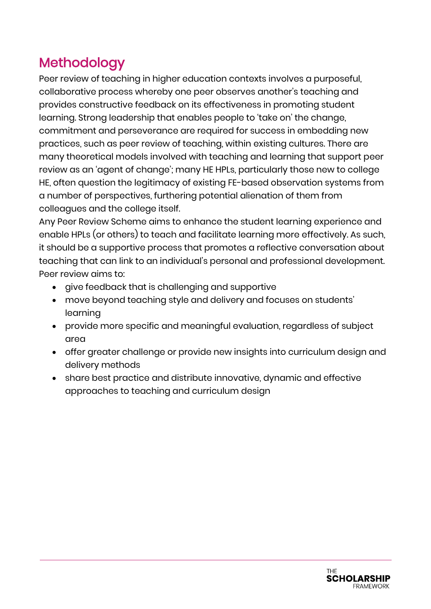## Methodology

Peer review of teaching in higher education contexts involves a purposeful, collaborative process whereby one peer observes another's teaching and provides constructive feedback on its effectiveness in promoting student learning. Strong leadership that enables people to 'take on' the change, commitment and perseverance are required for success in embedding new practices, such as peer review of teaching, within existing cultures. There are many theoretical models involved with teaching and learning that support peer review as an 'agent of change'; many HE HPLs, particularly those new to college HE, often question the legitimacy of existing FE-based observation systems from a number of perspectives, furthering potential alienation of them from colleagues and the college itself.

Any Peer Review Scheme aims to enhance the student learning experience and enable HPLs (or others) to teach and facilitate learning more effectively. As such, it should be a supportive process that promotes a reflective conversation about teaching that can link to an individual's personal and professional development. Peer review aims to:

- give feedback that is challenging and supportive
- move beyond teaching style and delivery and focuses on students' learning
- provide more specific and meaningful evaluation, regardless of subject area
- offer greater challenge or provide new insights into curriculum design and delivery methods
- share best practice and distribute innovative, dynamic and effective approaches to teaching and curriculum design

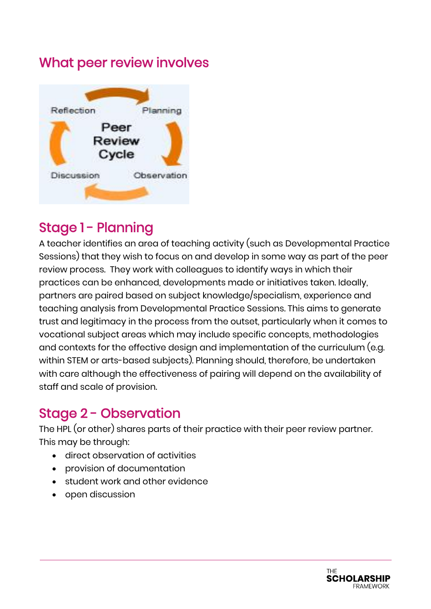#### What peer review involves



### Stage 1 - Planning

A teacher identifies an area of teaching activity (such as Developmental Practice Sessions) that they wish to focus on and develop in some way as part of the peer review process. They work with colleagues to identify ways in which their practices can be enhanced, developments made or initiatives taken. Ideally, partners are paired based on subject knowledge/specialism, experience and teaching analysis from Developmental Practice Sessions. This aims to generate trust and legitimacy in the process from the outset, particularly when it comes to vocational subject areas which may include specific concepts, methodologies and contexts for the effective design and implementation of the curriculum (e.g. within STEM or arts-based subjects). Planning should, therefore, be undertaken with care although the effectiveness of pairing will depend on the availability of staff and scale of provision.

## Stage 2 - Observation

The HPL (or other) shares parts of their practice with their peer review partner. This may be through:

- direct observation of activities
- provision of documentation
- student work and other evidence
- open discussion

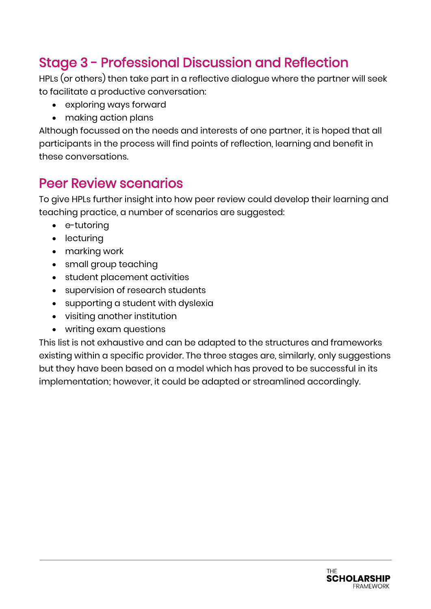## Stage 3 - Professional Discussion and Reflection

HPLs (or others) then take part in a reflective dialogue where the partner will seek to facilitate a productive conversation:

- exploring ways forward
- making action plans

Although focussed on the needs and interests of one partner, it is hoped that all participants in the process will find points of reflection, learning and benefit in these conversations.

#### Peer Review scenarios

To give HPLs further insight into how peer review could develop their learning and teaching practice, a number of scenarios are suggested:

- e-tutoring
- lecturing
- marking work
- small group teaching
- student placement activities
- supervision of research students
- supporting a student with dyslexia
- visiting another institution
- writing exam questions

This list is not exhaustive and can be adapted to the structures and frameworks existing within a specific provider. The three stages are, similarly, only suggestions but they have been based on a model which has proved to be successful in its implementation; however, it could be adapted or streamlined accordingly.